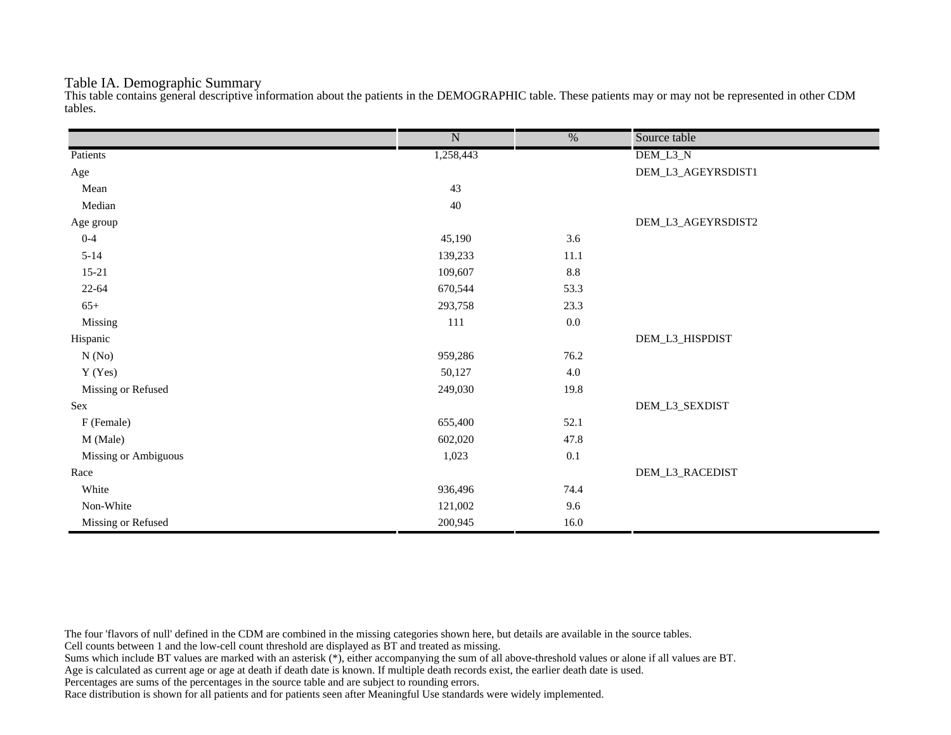## Table IA. Demographic Summary

This table contains general descriptive information about the patients in the DEMOGRAPHIC table. These patients may or may not be represented in other CDM tables.

|                      | $\overline{\text{N}}$ | $\frac{0}{6}$ | Source table       |
|----------------------|-----------------------|---------------|--------------------|
| Patients             | 1,258,443             |               | DEM_L3_N           |
| Age                  |                       |               | DEM_L3_AGEYRSDIST1 |
| Mean                 | 43                    |               |                    |
| Median               | $40\,$                |               |                    |
| Age group            |                       |               | DEM_L3_AGEYRSDIST2 |
| $0 - 4$              | 45,190                | 3.6           |                    |
| $5 - 14$             | 139,233               | 11.1          |                    |
| $15 - 21$            | 109,607               | $8.8\,$       |                    |
| $22 - 64$            | 670,544               | 53.3          |                    |
| $65+$                | 293,758               | 23.3          |                    |
| Missing              | 111                   | $0.0\,$       |                    |
| Hispanic             |                       |               | DEM_L3_HISPDIST    |
| N(No)                | 959,286               | 76.2          |                    |
| Y (Yes)              | 50,127                | $4.0\,$       |                    |
| Missing or Refused   | 249,030               | 19.8          |                    |
| Sex                  |                       |               | DEM_L3_SEXDIST     |
| F (Female)           | 655,400               | 52.1          |                    |
| M (Male)             | 602,020               | 47.8          |                    |
| Missing or Ambiguous | 1,023                 | 0.1           |                    |
| Race                 |                       |               | DEM_L3_RACEDIST    |
| White                | 936,496               | 74.4          |                    |
| Non-White            | 121,002               | 9.6           |                    |
| Missing or Refused   | 200,945               | 16.0          |                    |

The four 'flavors of null' defined in the CDM are combined in the missing categories shown here, but details are available in the source tables.

Cell counts between 1 and the low-cell count threshold are displayed as BT and treated as missing.

Sums which include BT values are marked with an asterisk (\*), either accompanying the sum of all above-threshold values or alone if all values are BT.

Age is calculated as current age or age at death if death date is known. If multiple death records exist, the earlier death date is used.

Percentages are sums of the percentages in the source table and are subject to rounding errors.

Race distribution is shown for all patients and for patients seen after Meaningful Use standards were widely implemented.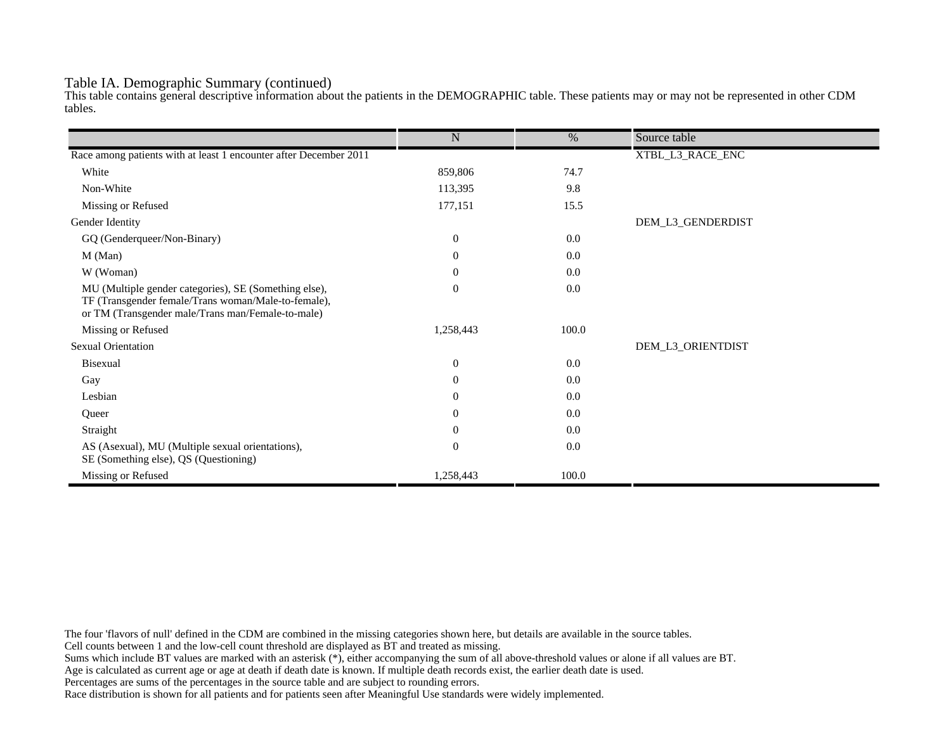## Table IA. Demographic Summary (continued)

This table contains general descriptive information about the patients in the DEMOGRAPHIC table. These patients may or may not be represented in other CDM tables.

|                                                                                                                                                                   | $\mathbf N$      | $\%$  | Source table      |
|-------------------------------------------------------------------------------------------------------------------------------------------------------------------|------------------|-------|-------------------|
|                                                                                                                                                                   |                  |       |                   |
| Race among patients with at least 1 encounter after December 2011                                                                                                 |                  |       | XTBL_L3_RACE_ENC  |
| White                                                                                                                                                             | 859,806          | 74.7  |                   |
| Non-White                                                                                                                                                         | 113,395          | 9.8   |                   |
| Missing or Refused                                                                                                                                                | 177,151          | 15.5  |                   |
| Gender Identity                                                                                                                                                   |                  |       | DEM_L3_GENDERDIST |
| GQ (Genderqueer/Non-Binary)                                                                                                                                       | $\overline{0}$   | 0.0   |                   |
| $M$ (Man)                                                                                                                                                         | $\theta$         | 0.0   |                   |
| W (Woman)                                                                                                                                                         | $\boldsymbol{0}$ | 0.0   |                   |
| MU (Multiple gender categories), SE (Something else),<br>TF (Transgender female/Trans woman/Male-to-female),<br>or TM (Transgender male/Trans man/Female-to-male) | $\overline{0}$   | 0.0   |                   |
| Missing or Refused                                                                                                                                                | 1,258,443        | 100.0 |                   |
| <b>Sexual Orientation</b>                                                                                                                                         |                  |       | DEM_L3_ORIENTDIST |
| Bisexual                                                                                                                                                          | $\overline{0}$   | 0.0   |                   |
| Gay                                                                                                                                                               | $\theta$         | 0.0   |                   |
| Lesbian                                                                                                                                                           | $\theta$         | 0.0   |                   |
| Queer                                                                                                                                                             | $\theta$         | 0.0   |                   |
| Straight                                                                                                                                                          | $\theta$         | 0.0   |                   |
| AS (Asexual), MU (Multiple sexual orientations),<br>SE (Something else), QS (Questioning)                                                                         | $\overline{0}$   | 0.0   |                   |
| Missing or Refused                                                                                                                                                | 1,258,443        | 100.0 |                   |

The four 'flavors of null' defined in the CDM are combined in the missing categories shown here, but details are available in the source tables.

Cell counts between 1 and the low-cell count threshold are displayed as BT and treated as missing.

Sums which include BT values are marked with an asterisk (\*), either accompanying the sum of all above-threshold values or alone if all values are BT.

Age is calculated as current age or age at death if death date is known. If multiple death records exist, the earlier death date is used.

Percentages are sums of the percentages in the source table and are subject to rounding errors.

Race distribution is shown for all patients and for patients seen after Meaningful Use standards were widely implemented.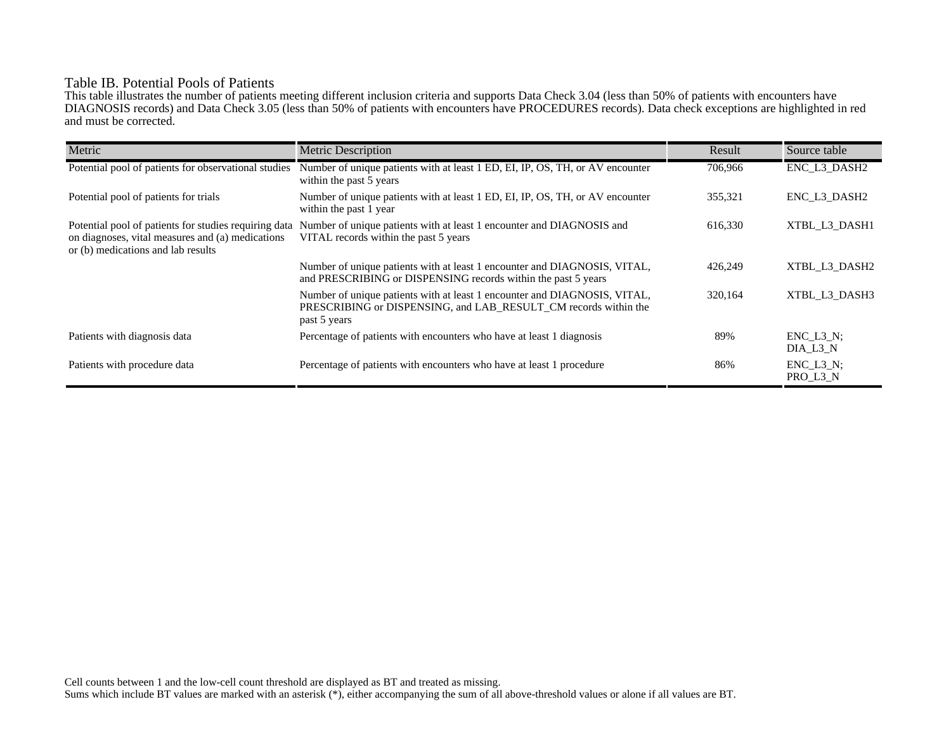# Table IB. Potential Pools of Patients

This table illustrates the number of patients meeting different inclusion criteria and supports Data Check 3.04 (less than 50% of patients with encounters have DIAGNOSIS records) and Data Check 3.05 (less than 50% of patients with encounters have PROCEDURES records). Data check exceptions are highlighted in red and must be corrected.

| Metric                                                                                                                                          | <b>Metric Description</b>                                                                                                                                    | Result  | Source table                 |
|-------------------------------------------------------------------------------------------------------------------------------------------------|--------------------------------------------------------------------------------------------------------------------------------------------------------------|---------|------------------------------|
| Potential pool of patients for observational studies                                                                                            | Number of unique patients with at least 1 ED, EI, IP, OS, TH, or AV encounter<br>within the past 5 years                                                     | 706,966 | ENC_L3_DASH2                 |
| Potential pool of patients for trials                                                                                                           | Number of unique patients with at least 1 ED, EI, IP, OS, TH, or AV encounter<br>within the past 1 year                                                      | 355,321 | ENC L3 DASH2                 |
| Potential pool of patients for studies requiring data<br>on diagnoses, vital measures and (a) medications<br>or (b) medications and lab results | Number of unique patients with at least 1 encounter and DIAGNOSIS and<br>VITAL records within the past 5 years                                               | 616,330 | XTBL L3 DASH1                |
|                                                                                                                                                 | Number of unique patients with at least 1 encounter and DIAGNOSIS, VITAL,<br>and PRESCRIBING or DISPENSING records within the past 5 years                   | 426,249 | XTBL L3 DASH2                |
|                                                                                                                                                 | Number of unique patients with at least 1 encounter and DIAGNOSIS, VITAL,<br>PRESCRIBING or DISPENSING, and LAB RESULT CM records within the<br>past 5 years | 320,164 | XTBL L3 DASH3                |
| Patients with diagnosis data                                                                                                                    | Percentage of patients with encounters who have at least 1 diagnosis                                                                                         | 89%     | $ENC$ $L3$ $N$ ;<br>DIA L3 N |
| Patients with procedure data                                                                                                                    | Percentage of patients with encounters who have at least 1 procedure                                                                                         | 86%     | $ENC_L3_N;$<br>PRO_L3_N      |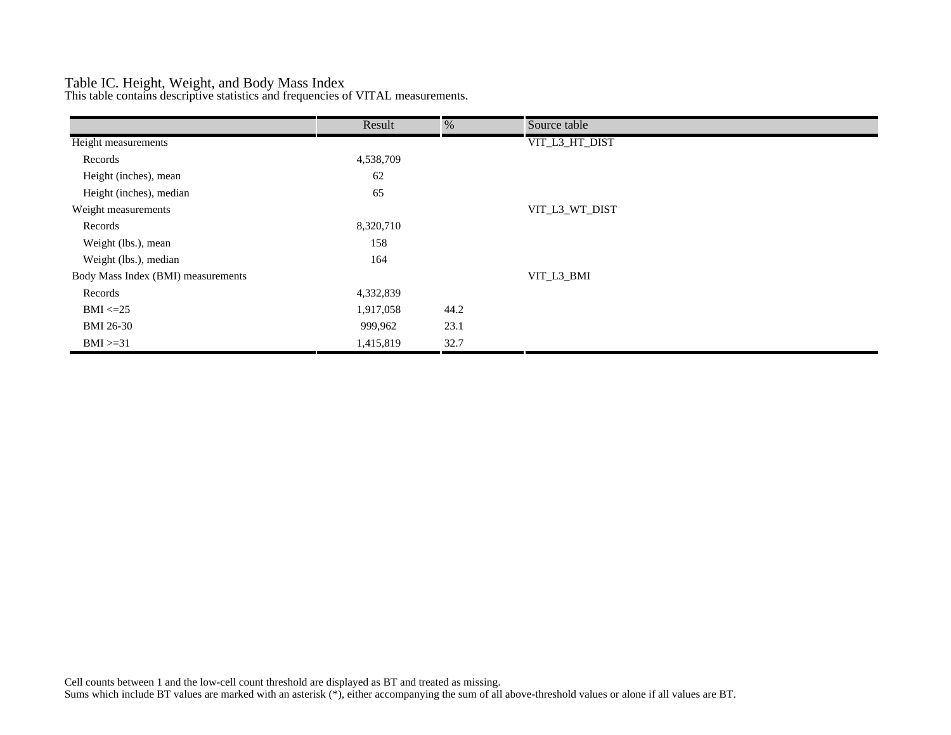# Table IC. Height, Weight, and Body Mass Index

This table contains descriptive statistics and frequencies of VITAL measurements.

|                                    | Result    | %    | Source table   |
|------------------------------------|-----------|------|----------------|
| Height measurements                |           |      | VIT_L3_HT_DIST |
| Records                            | 4,538,709 |      |                |
| Height (inches), mean              | 62        |      |                |
| Height (inches), median            | 65        |      |                |
| Weight measurements                |           |      | VIT_L3_WT_DIST |
| Records                            | 8,320,710 |      |                |
| Weight (lbs.), mean                | 158       |      |                |
| Weight (lbs.), median              | 164       |      |                |
| Body Mass Index (BMI) measurements |           |      | VIT_L3_BMI     |
| Records                            | 4,332,839 |      |                |
| $BMI \leq=25$                      | 1,917,058 | 44.2 |                |
| <b>BMI 26-30</b>                   | 999,962   | 23.1 |                |
| $BMI > = 31$                       | 1,415,819 | 32.7 |                |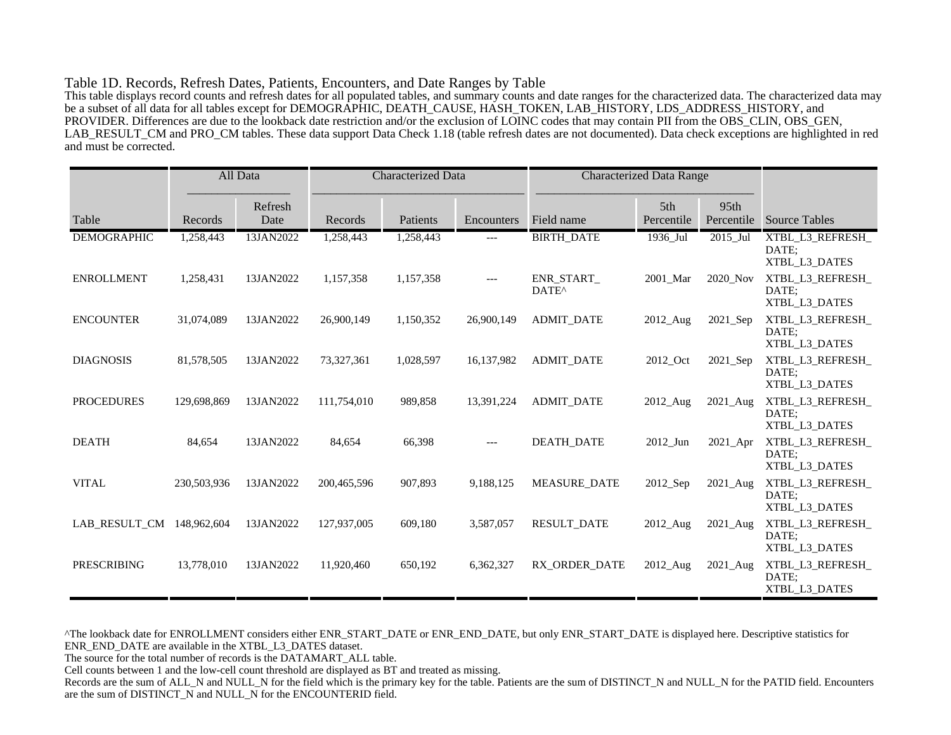#### Table 1D. Records, Refresh Dates, Patients, Encounters, and Date Ranges by Table

This table displays record counts and refresh dates for all populated tables, and summary counts and date ranges for the characterized data. The characterized data may be a subset of all data for all tables except for DEMOGRAPHIC, DEATH\_CAUSE, HASH\_TOKEN, LAB\_HISTORY, LDS\_ADDRESS\_HISTORY, and PROVIDER. Differences are due to the lookback date restriction and/or the exclusion of LOINC codes that may contain PII from the OBS\_CLIN, OBS\_GEN, LAB\_RESULT\_CM and PRO\_CM tables. These data support Data Check 1.18 (table refresh dates are not documented). Data check exceptions are highlighted in red and must be corrected.

|                    |             | All Data        | <b>Characterized Data</b> |           |            | <b>Characterized Data Range</b> |                   |                    |                                            |
|--------------------|-------------|-----------------|---------------------------|-----------|------------|---------------------------------|-------------------|--------------------|--------------------------------------------|
| Table              | Records     | Refresh<br>Date | Records                   | Patients  | Encounters | Field name                      | 5th<br>Percentile | 95th<br>Percentile | <b>Source Tables</b>                       |
| <b>DEMOGRAPHIC</b> | 1,258,443   | 13JAN2022       | 1,258,443                 | 1,258,443 | ---        | <b>BIRTH_DATE</b>               | 1936_Jul          | 2015_Jul           | XTBL_L3_REFRESH_<br>DATE:<br>XTBL L3 DATES |
| <b>ENROLLMENT</b>  | 1,258,431   | 13JAN2022       | 1,157,358                 | 1,157,358 | $---$      | ENR START<br>DATE <sup>^</sup>  | 2001_Mar          | 2020 Nov           | XTBL_L3_REFRESH_<br>DATE;<br>XTBL_L3_DATES |
| <b>ENCOUNTER</b>   | 31,074,089  | 13JAN2022       | 26,900,149                | 1,150,352 | 26,900,149 | <b>ADMIT_DATE</b>               | 2012_Aug          | 2021_Sep           | XTBL_L3_REFRESH_<br>DATE:<br>XTBL_L3_DATES |
| <b>DIAGNOSIS</b>   | 81,578,505  | 13JAN2022       | 73,327,361                | 1,028,597 | 16,137,982 | <b>ADMIT DATE</b>               | 2012_Oct          | 2021_Sep           | XTBL_L3_REFRESH_<br>DATE;<br>XTBL_L3_DATES |
| <b>PROCEDURES</b>  | 129,698,869 | 13JAN2022       | 111,754,010               | 989,858   | 13,391,224 | <b>ADMIT_DATE</b>               | 2012 Aug          | 2021 Aug           | XTBL_L3_REFRESH_<br>DATE:<br>XTBL_L3_DATES |
| <b>DEATH</b>       | 84,654      | 13JAN2022       | 84,654                    | 66,398    | $---$      | <b>DEATH DATE</b>               | 2012_Jun          | 2021_Apr           | XTBL_L3_REFRESH_<br>DATE:<br>XTBL_L3_DATES |
| <b>VITAL</b>       | 230,503,936 | 13JAN2022       | 200,465,596               | 907,893   | 9,188,125  | <b>MEASURE DATE</b>             | 2012_Sep          | 2021_Aug           | XTBL_L3_REFRESH_<br>DATE:<br>XTBL_L3_DATES |
| LAB RESULT CM      | 148,962,604 | 13JAN2022       | 127,937,005               | 609,180   | 3,587,057  | <b>RESULT_DATE</b>              | 2012_Aug          | 2021_Aug           | XTBL_L3_REFRESH_<br>DATE;<br>XTBL_L3_DATES |
| <b>PRESCRIBING</b> | 13,778,010  | 13JAN2022       | 11,920,460                | 650,192   | 6,362,327  | RX ORDER DATE                   | 2012_Aug          | 2021_Aug           | XTBL_L3_REFRESH_<br>DATE:<br>XTBL_L3_DATES |

^The lookback date for ENROLLMENT considers either ENR\_START\_DATE or ENR\_END\_DATE, but only ENR\_START\_DATE is displayed here. Descriptive statistics for ENR\_END\_DATE are available in the XTBL\_L3\_DATES dataset.

The source for the total number of records is the DATAMART\_ALL table.

Cell counts between 1 and the low-cell count threshold are displayed as BT and treated as missing.

Records are the sum of ALL\_N and NULL\_N for the field which is the primary key for the table. Patients are the sum of DISTINCT\_N and NULL\_N for the PATID field. Encounters are the sum of DISTINCT\_N and NULL\_N for the ENCOUNTERID field.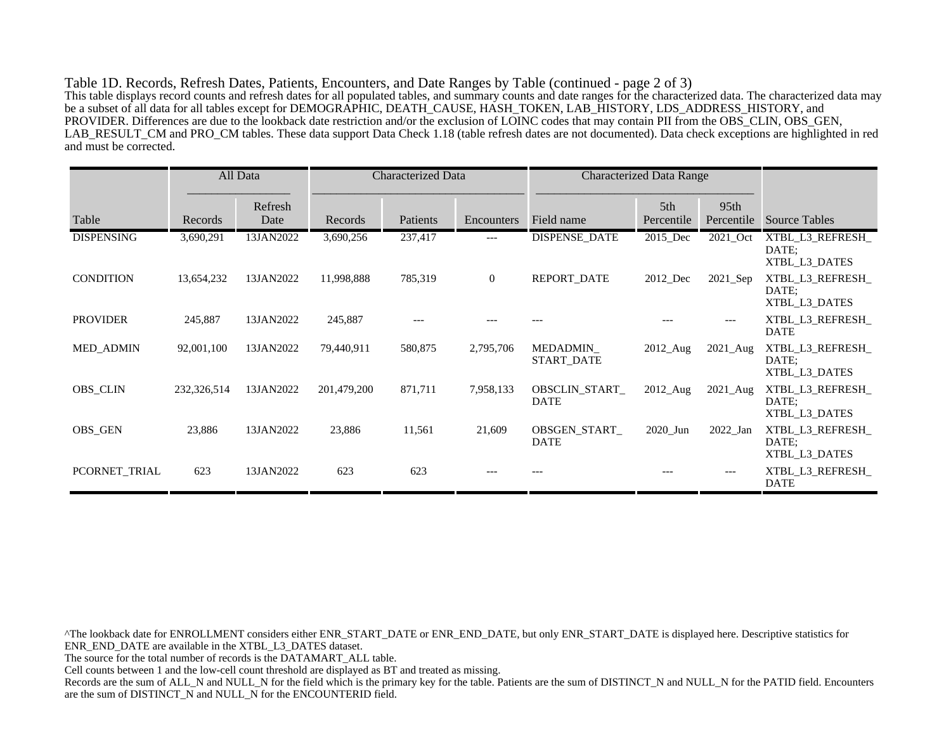Table 1D. Records, Refresh Dates, Patients, Encounters, and Date Ranges by Table (continued - page 2 of 3) This table displays record counts and refresh dates for all populated tables, and summary counts and date ranges for the characterized data. The characterized data may be a subset of all data for all tables except for DEMOGRAPHIC, DEATH\_CAUSE, HASH\_TOKEN, LAB\_HISTORY, LDS\_ADDRESS\_HISTORY, and PROVIDER. Differences are due to the lookback date restriction and/or the exclusion of LOINC codes that may contain PII from the OBS\_CLIN, OBS\_GEN, LAB\_RESULT\_CM and PRO\_CM tables. These data support Data Check 1.18 (table refresh dates are not documented). Data check exceptions are highlighted in red and must be corrected.

|                   |             | All Data        | <b>Characterized Data</b> |          |                | <b>Characterized Data Range</b>    |                   |                                |                                            |
|-------------------|-------------|-----------------|---------------------------|----------|----------------|------------------------------------|-------------------|--------------------------------|--------------------------------------------|
| Table             | Records     | Refresh<br>Date | Records                   | Patients | Encounters     | Field name                         | 5th<br>Percentile | 95 <sub>th</sub><br>Percentile | <b>Source Tables</b>                       |
| <b>DISPENSING</b> | 3,690,291   | 13JAN2022       | 3,690,256                 | 237,417  | $---$          | DISPENSE_DATE                      | 2015_Dec          | 2021_Oct                       | XTBL_L3_REFRESH_<br>DATE:<br>XTBL_L3_DATES |
| <b>CONDITION</b>  | 13,654,232  | 13JAN2022       | 11,998,888                | 785,319  | $\overline{0}$ | REPORT_DATE                        | 2012_Dec          | $2021$ Sep                     | XTBL_L3_REFRESH_<br>DATE:<br>XTBL_L3_DATES |
| <b>PROVIDER</b>   | 245,887     | 13JAN2022       | 245,887                   | ---      |                |                                    |                   | $---$                          | XTBL_L3_REFRESH_<br><b>DATE</b>            |
| <b>MED ADMIN</b>  | 92,001,100  | 13JAN2022       | 79,440,911                | 580,875  | 2,795,706      | MEDADMIN<br>START_DATE             | 2012_Aug          | $2021$ _Aug                    | XTBL_L3_REFRESH_<br>DATE:<br>XTBL_L3_DATES |
| <b>OBS_CLIN</b>   | 232,326,514 | 13JAN2022       | 201,479,200               | 871,711  | 7,958,133      | OBSCLIN_START_<br><b>DATE</b>      | 2012_Aug          | $2021$ Aug                     | XTBL_L3_REFRESH_<br>DATE:<br>XTBL_L3_DATES |
| <b>OBS GEN</b>    | 23,886      | 13JAN2022       | 23,886                    | 11,561   | 21,609         | <b>OBSGEN START</b><br><b>DATE</b> | 2020 Jun          | 2022 Jan                       | XTBL L3 REFRESH<br>DATE:<br>XTBL_L3_DATES  |
| PCORNET_TRIAL     | 623         | 13JAN2022       | 623                       | 623      |                |                                    |                   |                                | XTBL_L3_REFRESH_<br><b>DATE</b>            |

^The lookback date for ENROLLMENT considers either ENR\_START\_DATE or ENR\_END\_DATE, but only ENR\_START\_DATE is displayed here. Descriptive statistics for ENR\_END\_DATE are available in the XTBL\_L3\_DATES dataset. The source for the total number of records is the DATAMART\_ALL table. Cell counts between 1 and the low-cell count threshold are displayed as BT and treated as missing. Records are the sum of ALL\_N and NULL\_N for the field which is the primary key for the table. Patients are the sum of DISTINCT\_N and NULL\_N for the PATID field. Encounters are the sum of DISTINCT\_N and NULL\_N for the ENCOUNTERID field.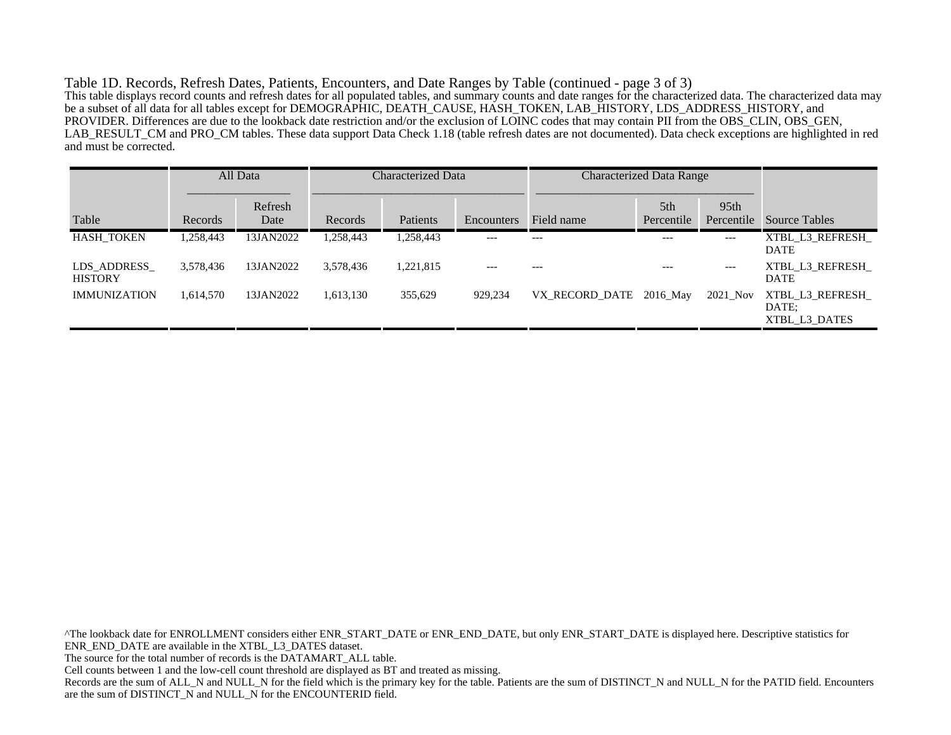Table 1D. Records, Refresh Dates, Patients, Encounters, and Date Ranges by Table (continued - page 3 of 3) This table displays record counts and refresh dates for all populated tables, and summary counts and date ranges for the characterized data. The characterized data may be a subset of all data for all tables except for DEMOGRAPHIC, DEATH\_CAUSE, HASH\_TOKEN, LAB\_HISTORY, LDS\_ADDRESS\_HISTORY, and PROVIDER. Differences are due to the lookback date restriction and/or the exclusion of LOINC codes that may contain PII from the OBS\_CLIN, OBS\_GEN, LAB\_RESULT\_CM and PRO\_CM tables. These data support Data Check 1.18 (table refresh dates are not documented). Data check exceptions are highlighted in red and must be corrected.

|                               |           | All Data        | Characterized Data |           |                   |                         | <b>Characterized Data Range</b> |                                |                                           |
|-------------------------------|-----------|-----------------|--------------------|-----------|-------------------|-------------------------|---------------------------------|--------------------------------|-------------------------------------------|
| Table                         | Records   | Refresh<br>Date | Records            | Patients  | <b>Encounters</b> | Field name              | 5th<br>Percentile               | 95 <sub>th</sub><br>Percentile | <b>Source Tables</b>                      |
| <b>HASH TOKEN</b>             | 1,258,443 | 13JAN2022       | 1,258,443          | 1,258,443 | $---$             | $---$                   | $---$                           | $---$                          | XTBL L3 REFRESH<br><b>DATE</b>            |
| LDS ADDRESS<br><b>HISTORY</b> | 3,578,436 | 13JAN2022       | 3,578,436          | 1,221,815 | $---$             |                         |                                 | $---$                          | XTBL L3 REFRESH<br><b>DATE</b>            |
| <b>IMMUNIZATION</b>           | 1.614.570 | 13JAN2022       | 1,613,130          | 355,629   | 929,234           | VX RECORD DATE 2016 May |                                 | 2021_Nov                       | XTBL L3 REFRESH<br>DATE:<br>XTBL L3 DATES |

^The lookback date for ENROLLMENT considers either ENR\_START\_DATE or ENR\_END\_DATE, but only ENR\_START\_DATE is displayed here. Descriptive statistics for ENR\_END\_DATE are available in the XTBL\_L3\_DATES dataset. The source for the total number of records is the DATAMART\_ALL table. Cell counts between 1 and the low-cell count threshold are displayed as BT and treated as missing. Records are the sum of ALL\_N and NULL\_N for the field which is the primary key for the table. Patients are the sum of DISTINCT\_N and NULL\_N for the PATID field. Encounters are the sum of DISTINCT\_N and NULL\_N for the ENCOUNTERID field.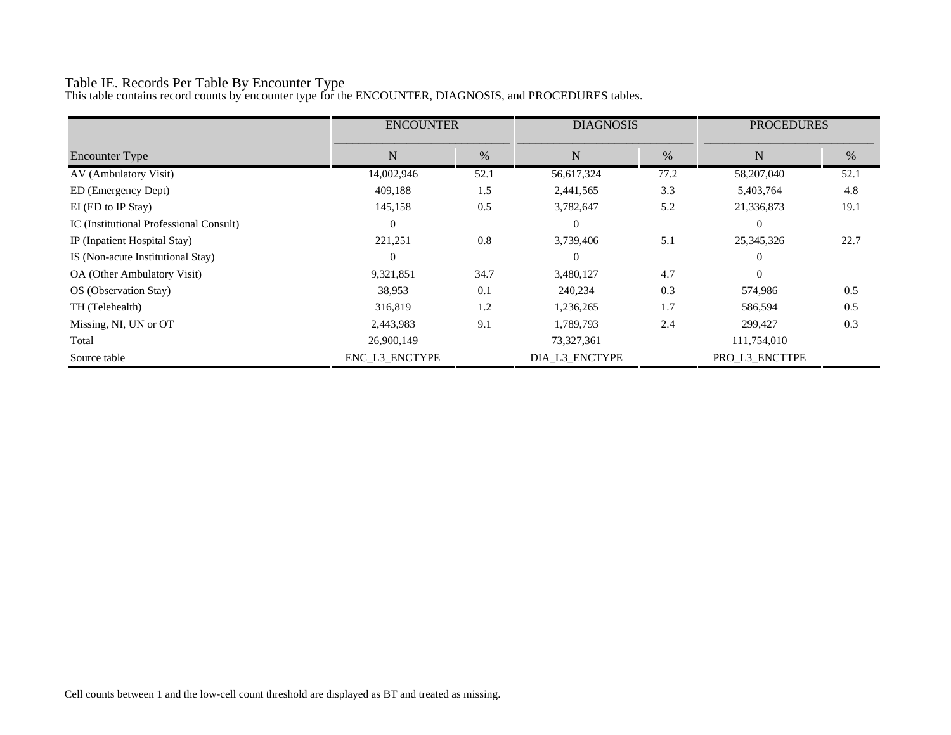# Table IE. Records Per Table By Encounter Type

This table contains record counts by encounter type for the ENCOUNTER, DIAGNOSIS, and PROCEDURES tables.

|                                         | <b>ENCOUNTER</b> |      | <b>DIAGNOSIS</b> |      | <b>PROCEDURES</b> |      |
|-----------------------------------------|------------------|------|------------------|------|-------------------|------|
| Encounter Type                          | N                | $\%$ | $\mathbf N$      | %    | N                 | %    |
| AV (Ambulatory Visit)                   | 14,002,946       | 52.1 | 56,617,324       | 77.2 | 58,207,040        | 52.1 |
| ED (Emergency Dept)                     | 409,188          | 1.5  | 2,441,565        | 3.3  | 5,403,764         | 4.8  |
| EI (ED to IP Stay)                      | 145,158          | 0.5  | 3,782,647        | 5.2  | 21,336,873        | 19.1 |
| IC (Institutional Professional Consult) | $\Omega$         |      | $\theta$         |      | $\Omega$          |      |
| IP (Inpatient Hospital Stay)            | 221,251          | 0.8  | 3,739,406        | 5.1  | 25, 345, 326      | 22.7 |
| IS (Non-acute Institutional Stay)       | 0                |      | $\theta$         |      | $\Omega$          |      |
| OA (Other Ambulatory Visit)             | 9,321,851        | 34.7 | 3,480,127        | 4.7  | $\Omega$          |      |
| OS (Observation Stay)                   | 38,953           | 0.1  | 240,234          | 0.3  | 574,986           | 0.5  |
| TH (Telehealth)                         | 316,819          | 1.2  | 1,236,265        | 1.7  | 586,594           | 0.5  |
| Missing, NI, UN or OT                   | 2,443,983        | 9.1  | 1,789,793        | 2.4  | 299,427           | 0.3  |
| Total                                   | 26,900,149       |      | 73,327,361       |      | 111,754,010       |      |
| Source table                            | ENC_L3_ENCTYPE   |      | DIA_L3_ENCTYPE   |      | PRO_L3_ENCTTPE    |      |